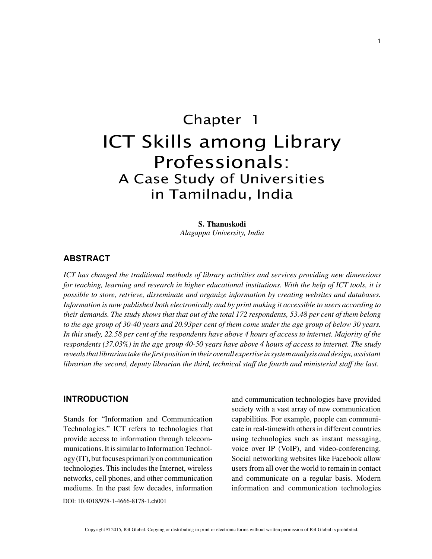# Chapter 1 ICT Skills among Library Professionals: A Case Study of Universities in Tamilnadu, India

**S. Thanuskodi** *Alagappa University, India*

## **ABSTRACT**

*ICT has changed the traditional methods of library activities and services providing new dimensions for teaching, learning and research in higher educational institutions. With the help of ICT tools, it is possible to store, retrieve, disseminate and organize information by creating websites and databases. Information is now published both electronically and by print making it accessible to users according to their demands. The study shows that that out of the total 172 respondents, 53.48 per cent of them belong to the age group of 30-40 years and 20.93per cent of them come under the age group of below 30 years. In this study, 22.58 per cent of the respondents have above 4 hours of access to internet. Majority of the respondents (37.03%) in the age group 40-50 years have above 4 hours of access to internet. The study reveals that librarian take the first position in their overall expertise in system analysis and design, assistant librarian the second, deputy librarian the third, technical staff the fourth and ministerial staff the last.*

## **INTRODUCTION**

Stands for "Information and Communication Technologies." ICT refers to technologies that provide access to information through telecommunications. It is similar to Information Technology (IT), but focuses primarily on communication technologies. This includes the Internet, wireless networks, cell phones, and other communication mediums. In the past few decades, information and communication technologies have provided society with a vast array of new communication capabilities. For example, people can communicate in real-timewith others in different countries using technologies such as instant messaging, voice over IP (VoIP), and video-conferencing. Social networking websites like Facebook allow users from all over the world to remain in contact and communicate on a regular basis. Modern information and communication technologies

DOI: 10.4018/978-1-4666-8178-1.ch001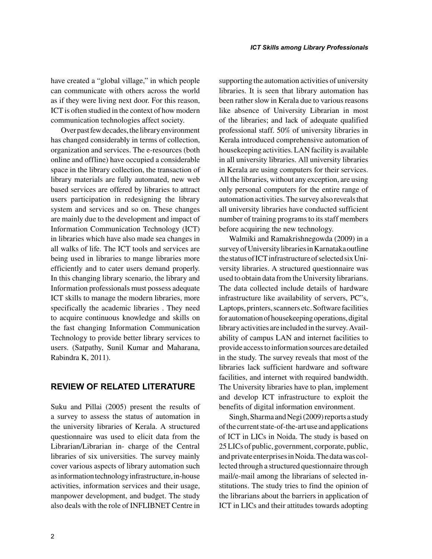have created a "global village," in which people can communicate with others across the world as if they were living next door. For this reason, ICT is often studied in the context of how modern communication technologies affect society.

Over past few decades, the library environment has changed considerably in terms of collection, organization and services. The e-resources (both online and offline) have occupied a considerable space in the library collection, the transaction of library materials are fully automated, new web based services are offered by libraries to attract users participation in redesigning the library system and services and so on. These changes are mainly due to the development and impact of Information Communication Technology (ICT) in libraries which have also made sea changes in all walks of life. The ICT tools and services are being used in libraries to mange libraries more efficiently and to cater users demand properly. In this changing library scenario, the library and Information professionals must possess adequate ICT skills to manage the modern libraries, more specifically the academic libraries . They need to acquire continuous knowledge and skills on the fast changing Information Communication Technology to provide better library services to users. (Satpathy, Sunil Kumar and Maharana, Rabindra K, 2011).

## **REVIEW OF RELATED LITERATURE**

Suku and Pillai (2005) present the results of a survey to assess the status of automation in the university libraries of Kerala. A structured questionnaire was used to elicit data from the Librarian/Librarian in- charge of the Central libraries of six universities. The survey mainly cover various aspects of library automation such as information technology infrastructure, in-house activities, information services and their usage, manpower development, and budget. The study also deals with the role of INFLIBNET Centre in supporting the automation activities of university libraries. It is seen that library automation has been rather slow in Kerala due to various reasons like absence of University Librarian in most of the libraries; and lack of adequate qualified professional staff. 50% of university libraries in Kerala introduced comprehensive automation of housekeeping activities. LAN facility is available in all university libraries. All university libraries in Kerala are using computers for their services. All the libraries, without any exception, are using only personal computers for the entire range of automation activities. The survey also reveals that all university libraries have conducted sufficient number of training programs to its staff members before acquiring the new technology.

Walmiki and Ramakrishnegowda (2009) in a survey of University libraries in Karnataka outline the status of ICT infrastructure of selected six University libraries. A structured questionnaire was used to obtain data from the University librarians. The data collected include details of hardware infrastructure like availability of servers, PC"s, Laptops, printers, scanners etc. Software facilities for automation of housekeeping operations, digital library activities are included in the survey. Availability of campus LAN and internet facilities to provide access to information sources are detailed in the study. The survey reveals that most of the libraries lack sufficient hardware and software facilities, and internet with required bandwidth. The University libraries have to plan, implement and develop ICT infrastructure to exploit the benefits of digital information environment.

Singh, Sharma and Negi (2009) reports a study of the current state-of-the-art use and applications of ICT in LICs in Noida. The study is based on 25 LICs of public, government, corporate, public, and private enterprises in Noida. The data was collected through a structured questionnaire through mail/e-mail among the librarians of selected institutions. The study tries to find the opinion of the librarians about the barriers in application of ICT in LICs and their attitudes towards adopting